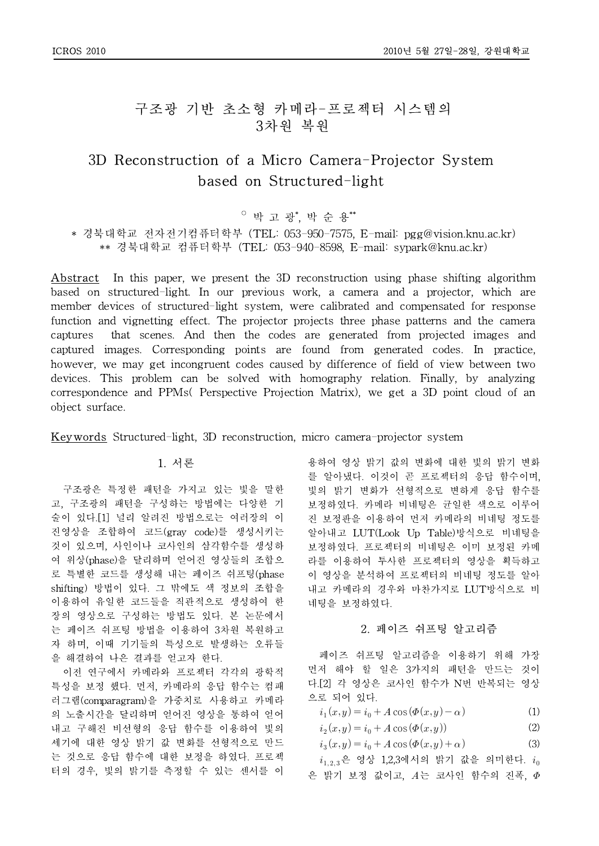## 구조광 기반 초소형 카메라-프로젝터 시스템의 3차원 복원

# 3D Reconstruction of a Micro Camera-Projector System based on Structured-light

○ 박 고 광\* , 박 순 용\*\*

\* 경북대학교 전자전기컴퓨터학부 (TEL: 053-950-7575, E-mail: pgg@vision.knu.ac.kr) \*\* 경북대학교 컴퓨터학부 (TEL: 053-940-8598, E-mail: sypark@knu.ac.kr)

Abstract In this paper, we present the 3D reconstruction using phase shifting algorithm based on structured-light. In our previous work, a camera and a projector, which are member devices of structured-light system, were calibrated and compensated for response function and vignetting effect. The projector projects three phase patterns and the camera captures that scenes. And then the codes are generated from projected images and captured images. Corresponding points are found from generated codes. In practice, however, we may get incongruent codes caused by difference of field of view between two devices. This problem can be solved with homography relation. Finally, by analyzing correspondence and PPMs( Perspective Projection Matrix), we get a 3D point cloud of an object surface.

Keywords Structured-light, 3D reconstruction, micro camera-projector system

### 1. 서론

구조광은 특정한 패턴을 가지고 있는 빛을 말한 고, 구조광의 패턴을 구성하는 방법에는 다양한 기 술이 있다.[1] 널리 알려진 방법으로는 여러장의 이 진영상을 조합하여 코드(gray code)를 생성시키는 것이 있으며, 사인이나 코사인의 삼각함수를 생성하 여 위상(phase)을 달리하며 얻어진 영상들의 조합으 로 특별한 코드를 생성해 내는 페이즈 쉬프팅(phase shifting) 방법이 있다. 그 밖에도 색 정보의 조합을 이용하여 유일한 코드들을 직관적으로 생성하여 한 장의 영상으로 구성하는 방법도 있다. 본 논문에서 는 페이즈 쉬프팅 방법을 이용하여 3차원 복원하고 자 하며, 이때 기기들의 특성으로 발생하는 오류들 을 해결하여 나은 결과를 얻고자 한다.

이전 연구에서 카메라와 프로젝터 각각의 광학적 특성을 보정 했다. 먼저, 카메라의 응답 함수는 컴패 러그램(comparagram)을 가중치로 사용하고 카메라 의 노출시간을 달리하며 얻어진 영상을 통하여 얻어 내고 구해진 비선형의 응답 함수를 이용하여 빛의 세기에 대한 영상 밝기 값 변화를 선형적으로 만드 는 것으로 응답 함수에 대한 보정을 하였다. 프로젝 터의 경우, 빛의 밝기를 측정할 수 있는 센서를 이 용하여 영상 밝기 값의 변화에 대한 빛의 밝기 변화 를 알아냈다. 이것이 곧 프로젝터의 응답 함수이며, 빛의 밝기 변화가 선형적으로 변하게 응답 함수를 보정하였다. 카메라 비네팅은 균일한 색으로 이루어 진 보정판을 이용하여 먼저 카메라의 비네팅 정도를 알아내고 LUT(Look Up Table)방식으로 비네팅을 보정하였다. 프로젝터의 비네팅은 이미 보정된 카메 라를 이용하여 투사한 프로젝터의 영상을 획득하고 이 영상을 분석하여 프로젝터의 비네팅 정도를 알아 내고 카메라의 경우와 마찬가지로 LUT방식으로 비 네팅을 보정하였다.

### 2. 페이즈 쉬프팅 알고리즘

페이즈 쉬프팅 알고리즘을 이용하기 위해 가장 먼저 해야 할 일은 3가지의 패턴을 만드는 것이 다.[2] 각 영상은 코사인 함수가 N번 반복되는 영상 으로 되어 있다.

 $i_1(x,y) = i_0 + A \cos(\Phi(x,y) - \alpha)$  (1)

$$
i_2(x, y) = i_0 + A \cos(\Phi(x, y))
$$
 (2)

$$
i_3(x,y) = i_0 + A\cos(\Phi(x,y) + \alpha)
$$
 (3)

 $i_{1,2,3}$ 은 영상 1,2,3에서의 밝기 값을 의미한다.  $i_0$ 은 밝기 보정 값이고,  $A \leftarrow \exists A \cup \exists C \in A \cup A \neq \emptyset$